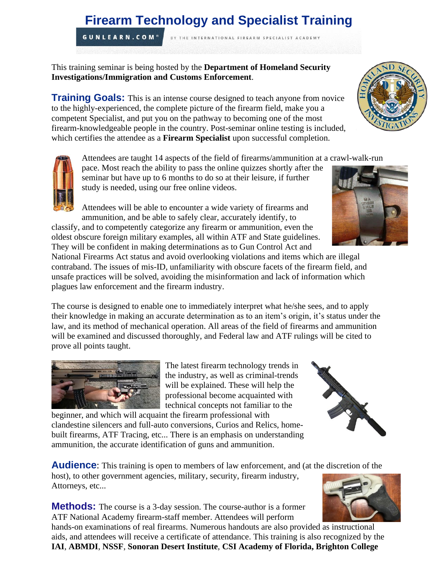# **Firearm Technology and Specialist Training**

BY THE INTERNATIONAL FIREARM SPECIALIST ACADEMY

**GUNLEARN.COM®** 

This training seminar is being hosted by the **Department of Homeland Security Investigations/Immigration and Customs Enforcement**.

**Training Goals:** This is an intense course designed to teach anyone from novice to the highly-experienced, the complete picture of the firearm field, make you a competent Specialist, and put you on the pathway to becoming one of the most firearm-knowledgeable people in the country. Post-seminar online testing is included, which certifies the attendee as a **Firearm Specialist** upon successful completion.

Attendees are taught 14 aspects of the field of firearms/ammunition at a crawl-walk-run

pace. Most reach the ability to pass the online quizzes shortly after the seminar but have up to 6 months to do so at their leisure, if further study is needed, using our free online videos.

Attendees will be able to encounter a wide variety of firearms and ammunition, and be able to safely clear, accurately identify, to

classify, and to competently categorize any firearm or ammunition, even the oldest obscure foreign military examples, all within ATF and State guidelines. They will be confident in making determinations as to Gun Control Act and

National Firearms Act status and avoid overlooking violations and items which are illegal contraband. The issues of mis-ID, unfamiliarity with obscure facets of the firearm field, and unsafe practices will be solved, avoiding the misinformation and lack of information which plagues law enforcement and the firearm industry.

The course is designed to enable one to immediately interpret what he/she sees, and to apply their knowledge in making an accurate determination as to an item's origin, it's status under the law, and its method of mechanical operation. All areas of the field of firearms and ammunition will be examined and discussed thoroughly, and Federal law and ATF rulings will be cited to prove all points taught.

> The latest firearm technology trends in the industry, as well as criminal-trends will be explained. These will help the professional become acquainted with technical concepts not familiar to the

beginner, and which will acquaint the firearm professional with clandestine silencers and full-auto conversions, Curios and Relics, homebuilt firearms, ATF Tracing, etc... There is an emphasis on understanding ammunition, the accurate identification of guns and ammunition.

**Audience:** This training is open to members of law enforcement, and (at the discretion of the host), to other government agencies, military, security, firearm industry,

**Methods:** The course is a 3-day session. The course-author is a former ATF National Academy firearm-staff member. Attendees will perform

hands-on examinations of real firearms. Numerous handouts are also provided as instructional aids, and attendees will receive a certificate of attendance. This training is also recognized by the **IAI**, **ABMDI**, **NSSF**, **Sonoran Desert Institute**, **CSI Academy of Florida, Brighton College**



Attorneys, etc...